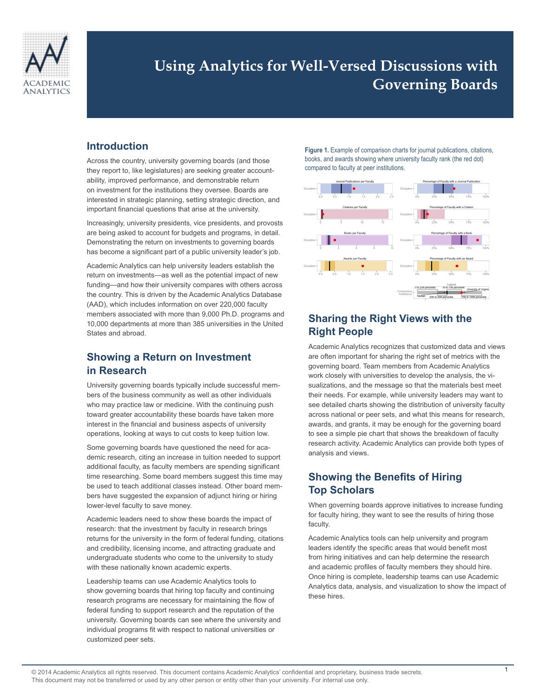

# **Using Analytics for Well-Versed Discussions with Governing Boards**

### **Introduction**

Across the country, university governing boards (and those they report to, like legislatures) are seeking greater accountability, improved performance, and demonstrable return on investment for the institutions they oversee. Boards are interested in strategic planning, setting strategic direction, and important financial questions that arise at the university.

Increasingly, university presidents, vice presidents, and provosts are being asked to account for budgets and programs, in detail. Demonstrating the return on investments to governing boards has become a significant part of a public university leader's job.

Academic Analytics can help university leaders establish the return on investments—as well as the potential impact of new funding—and how their university compares with others across the country. This is driven by the Academic Analytics Database (AAD), which includes information on over 220,000 faculty members associated with more than 9,000 Ph.D. programs and 10,000 departments at more than 385 universities in the United States and abroad.

### **Showing a Return on Investment in Research**

University governing boards typically include successful members of the business community as well as other individuals who may practice law or medicine. With the continuing push toward greater accountability these boards have taken more interest in the financial and business aspects of university operations, looking at ways to cut costs to keep tuition low.

Some governing boards have questioned the need for academic research, citing an increase in tuition needed to support additional faculty, as faculty members are spending significant time researching. Some board members suggest this time may be used to teach additional classes instead. Other board members have suggested the expansion of adjunct hiring or hiring lower-level faculty to save money.

Academic leaders need to show these boards the impact of research: that the investment by faculty in research brings returns for the university in the form of federal funding, citations and credibility, licensing income, and attracting graduate and undergraduate students who come to the university to study with these nationally known academic experts.

Leadership teams can use Academic Analytics tools to show governing boards that hiring top faculty and continuing research programs are necessary for maintaining the flow of federal funding to support research and the reputation of the university. Governing boards can see where the university and individual programs fit with respect to national universities or customized peer sets.

**Figure 1.** Example of comparison charts for journal publications, citations, books, and awards showing where university faculty rank (the red dot) compared to faculty at peer institutions.



### **Sharing the Right Views with the Right People**

Academic Analytics recognizes that customized data and views are often important for sharing the right set of metrics with the governing board. Team members from Academic Analytics work closely with universities to develop the analysis, the visualizations, and the message so that the materials best meet their needs. For example, while university leaders may want to see detailed charts showing the distribution of university faculty across national or peer sets, and what this means for research, awards, and grants, it may be enough for the governing board to see a simple pie chart that shows the breakdown of faculty research activity. Academic Analytics can provide both types of analysis and views.

### **Showing the Benefits of Hiring Top Scholars**

When governing boards approve initiatives to increase funding for faculty hiring, they want to see the results of hiring those faculty.

Academic Analytics tools can help university and program leaders identify the specific areas that would benefit most from hiring initiatives and can help determine the research and academic profiles of faculty members they should hire. Once hiring is complete, leadership teams can use Academic Analytics data, analysis, and visualization to show the impact of these hires.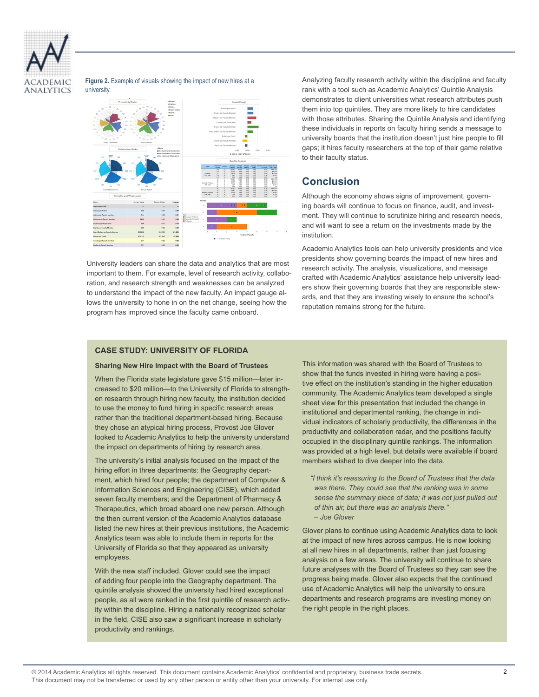

#### **Figure 2.** Example of visuals showing the impact of new hires at a university.



University leaders can share the data and analytics that are most important to them. For example, level of research activity, collaboration, and research strength and weaknesses can be analyzed to understand the impact of the new faculty. An impact gauge allows the university to hone in on the net change, seeing how the program has improved since the faculty came onboard.

Analyzing faculty research activity within the discipline and faculty rank with a tool such as Academic Analytics' Quintile Analysis demonstrates to client universities what research attributes push them into top quintiles. They are more likely to hire candidates with those attributes. Sharing the Quintile Analysis and identifying these individuals in reports on faculty hiring sends a message to university boards that the institution doesn't just hire people to fill gaps; it hires faculty researchers at the top of their game relative to their faculty status.

## **Conclusion**

Although the economy shows signs of improvement, governing boards will continue to focus on finance, audit, and investment. They will continue to scrutinize hiring and research needs, and will want to see a return on the investments made by the institution.

Academic Analytics tools can help university presidents and vice presidents show governing boards the impact of new hires and research activity. The analysis, visualizations, and message crafted with Academic Analytics' assistance help university leaders show their governing boards that they are responsible stewards, and that they are investing wisely to ensure the school's reputation remains strong for the future.

#### **Case Study: University of Florida**

#### **Sharing New Hire Impact with the Board of Trustees**

When the Florida state legislature gave \$15 million—later increased to \$20 million—to the University of Florida to strengthen research through hiring new faculty, the institution decided to use the money to fund hiring in specific research areas rather than the traditional department-based hiring. Because they chose an atypical hiring process, Provost Joe Glover looked to Academic Analytics to help the university understand the impact on departments of hiring by research area.

The university's initial analysis focused on the impact of the hiring effort in three departments: the Geography department, which hired four people; the department of Computer & Information Sciences and Engineering (CISE), which added seven faculty members; and the Department of Pharmacy & Therapeutics, which broad aboard one new person. Although the then current version of the Academic Analytics database listed the new hires at their previous institutions, the Academic Analytics team was able to include them in reports for the University of Florida so that they appeared as university employees.

With the new staff included, Glover could see the impact of adding four people into the Geography department. The quintile analysis showed the university had hired exceptional people, as all were ranked in the first quintile of research activity within the discipline. Hiring a nationally recognized scholar in the field, CISE also saw a significant increase in scholarly productivity and rankings.

This information was shared with the Board of Trustees to show that the funds invested in hiring were having a positive effect on the institution's standing in the higher education community. The Academic Analytics team developed a single sheet view for this presentation that included the change in institutional and departmental ranking, the change in individual indicators of scholarly productivity, the differences in the productivity and collaboration radar, and the positions faculty occupied in the disciplinary quintile rankings. The information was provided at a high level, but details were available if board members wished to dive deeper into the data.

*"I think it's reassuring to the Board of Trustees that the data was there. They could see that the ranking was in some sense the summary piece of data; it was not just pulled out of thin air, but there was an analysis there." – Joe Glover*

Glover plans to continue using Academic Analytics data to look at the impact of new hires across campus. He is now looking at all new hires in all departments, rather than just focusing analysis on a few areas. The university will continue to share future analyses with the Board of Trustees so they can see the progress being made. Glover also expects that the continued use of Academic Analytics will help the university to ensure departments and research programs are investing money on the right people in the right places.